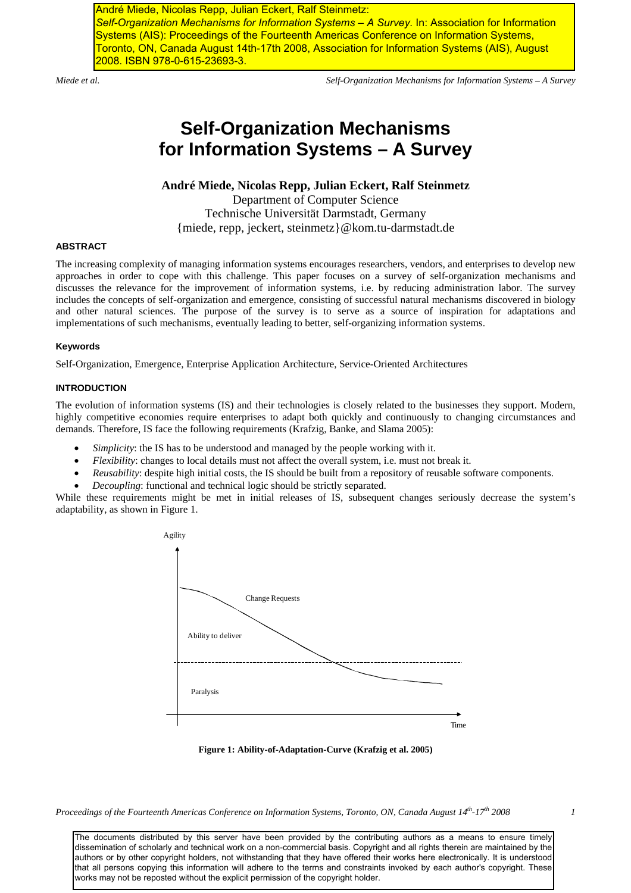André Miede, Nicolas Repp, Julian Eckert, Ralf Steinmetz: *Self-Organization Mechanisms for Information Systems – A Survey.* In: Association for Information Systems (AIS): Proceedings of the Fourteenth Americas Conference on Information Systems, Toronto, ON, Canada August 14th-17th 2008, Association for Information Systems (AIS), August 2008. ISBN 978-0-615-23693-3.

*Miede et al. Self-Organization Mechanisms for Information Systems – A Survey* 

# **Self-Organization Mechanisms for Information Systems – A Survey**

**André Miede, Nicolas Repp, Julian Eckert, Ralf Steinmetz** 

Department of Computer Science Technische Universität Darmstadt, Germany {miede, repp, jeckert, steinmetz}@kom.tu-darmstadt.de

# **ABSTRACT**

The increasing complexity of managing information systems encourages researchers, vendors, and enterprises to develop new approaches in order to cope with this challenge. This paper focuses on a survey of self-organization mechanisms and discusses the relevance for the improvement of information systems, i.e. by reducing administration labor. The survey includes the concepts of self-organization and emergence, consisting of successful natural mechanisms discovered in biology and other natural sciences. The purpose of the survey is to serve as a source of inspiration for adaptations and implementations of such mechanisms, eventually leading to better, self-organizing information systems.

## **Keywords**

Self-Organization, Emergence, Enterprise Application Architecture, Service-Oriented Architectures

# **INTRODUCTION**

The evolution of information systems (IS) and their technologies is closely related to the businesses they support. Modern, highly competitive economies require enterprises to adapt both quickly and continuously to changing circumstances and demands. Therefore, IS face the following requirements (Krafzig, Banke, and Slama 2005):

- *Simplicity*: the IS has to be understood and managed by the people working with it.
- *Flexibility*: changes to local details must not affect the overall system, i.e. must not break it.
- *Reusability*: despite high initial costs, the IS should be built from a repository of reusable software components.
- *Decoupling*: functional and technical logic should be strictly separated.

While these requirements might be met in initial releases of IS, subsequent changes seriously decrease the system's adaptability, as shown in Figure 1.



**Figure 1: Ability-of-Adaptation-Curve (Krafzig et al. 2005)** 

*Proceedings of the Fourteenth Americas Conference on Information Systems, Toronto, ON, Canada August 14th-17th 2008* 1

The documents distributed by this server have been provided by the contributing authors as a means to ensure timely dissemination of scholarly and technical work on a non-commercial basis. Copyright and all rights therein are maintained by the authors or by other copyright holders, not withstanding that they have offered their works here electronically. It is understood that all persons copying this information will adhere to the terms and constraints invoked by each author's copyright. These works may not be reposted without the explicit permission of the copyright holder.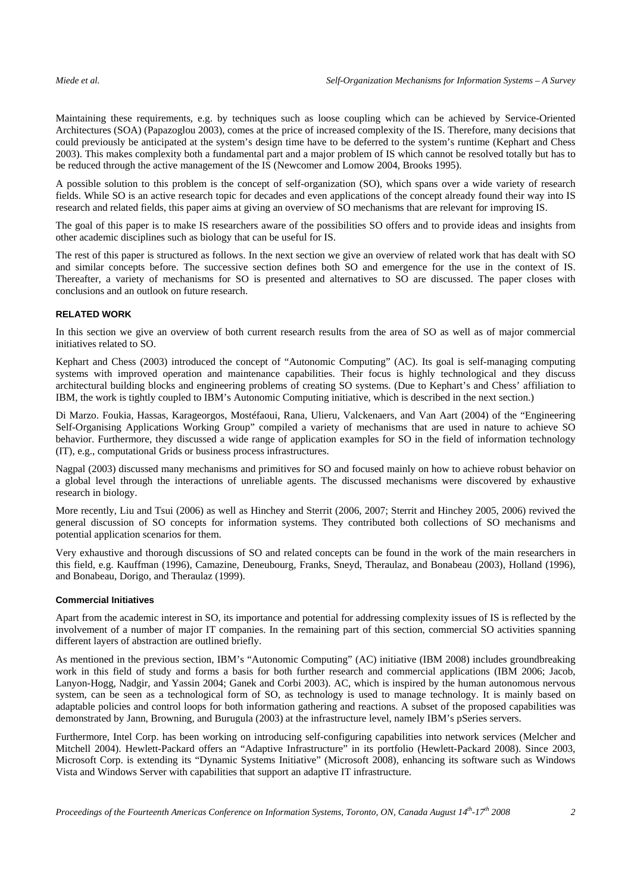Maintaining these requirements, e.g. by techniques such as loose coupling which can be achieved by Service-Oriented Architectures (SOA) (Papazoglou 2003), comes at the price of increased complexity of the IS. Therefore, many decisions that could previously be anticipated at the system's design time have to be deferred to the system's runtime (Kephart and Chess 2003). This makes complexity both a fundamental part and a major problem of IS which cannot be resolved totally but has to be reduced through the active management of the IS (Newcomer and Lomow 2004, Brooks 1995).

A possible solution to this problem is the concept of self-organization (SO), which spans over a wide variety of research fields. While SO is an active research topic for decades and even applications of the concept already found their way into IS research and related fields, this paper aims at giving an overview of SO mechanisms that are relevant for improving IS.

The goal of this paper is to make IS researchers aware of the possibilities SO offers and to provide ideas and insights from other academic disciplines such as biology that can be useful for IS.

The rest of this paper is structured as follows. In the next section we give an overview of related work that has dealt with SO and similar concepts before. The successive section defines both SO and emergence for the use in the context of IS. Thereafter, a variety of mechanisms for SO is presented and alternatives to SO are discussed. The paper closes with conclusions and an outlook on future research.

#### **RELATED WORK**

In this section we give an overview of both current research results from the area of SO as well as of major commercial initiatives related to SO.

Kephart and Chess (2003) introduced the concept of "Autonomic Computing" (AC). Its goal is self-managing computing systems with improved operation and maintenance capabilities. Their focus is highly technological and they discuss architectural building blocks and engineering problems of creating SO systems. (Due to Kephart's and Chess' affiliation to IBM, the work is tightly coupled to IBM's Autonomic Computing initiative, which is described in the next section.)

Di Marzo. Foukia, Hassas, Karageorgos, Mostéfaoui, Rana, Ulieru, Valckenaers, and Van Aart (2004) of the "Engineering Self-Organising Applications Working Group" compiled a variety of mechanisms that are used in nature to achieve SO behavior. Furthermore, they discussed a wide range of application examples for SO in the field of information technology (IT), e.g., computational Grids or business process infrastructures.

Nagpal (2003) discussed many mechanisms and primitives for SO and focused mainly on how to achieve robust behavior on a global level through the interactions of unreliable agents. The discussed mechanisms were discovered by exhaustive research in biology.

More recently, Liu and Tsui (2006) as well as Hinchey and Sterrit (2006, 2007; Sterrit and Hinchey 2005, 2006) revived the general discussion of SO concepts for information systems. They contributed both collections of SO mechanisms and potential application scenarios for them.

Very exhaustive and thorough discussions of SO and related concepts can be found in the work of the main researchers in this field, e.g. Kauffman (1996), Camazine, Deneubourg, Franks, Sneyd, Theraulaz, and Bonabeau (2003), Holland (1996), and Bonabeau, Dorigo, and Theraulaz (1999).

#### **Commercial Initiatives**

Apart from the academic interest in SO, its importance and potential for addressing complexity issues of IS is reflected by the involvement of a number of major IT companies. In the remaining part of this section, commercial SO activities spanning different layers of abstraction are outlined briefly.

As mentioned in the previous section, IBM's "Autonomic Computing" (AC) initiative (IBM 2008) includes groundbreaking work in this field of study and forms a basis for both further research and commercial applications (IBM 2006; Jacob, Lanyon-Hogg, Nadgir, and Yassin 2004; Ganek and Corbi 2003). AC, which is inspired by the human autonomous nervous system, can be seen as a technological form of SO, as technology is used to manage technology. It is mainly based on adaptable policies and control loops for both information gathering and reactions. A subset of the proposed capabilities was demonstrated by Jann, Browning, and Burugula (2003) at the infrastructure level, namely IBM's pSeries servers.

Furthermore, Intel Corp. has been working on introducing self-configuring capabilities into network services (Melcher and Mitchell 2004). Hewlett-Packard offers an "Adaptive Infrastructure" in its portfolio (Hewlett-Packard 2008). Since 2003, Microsoft Corp. is extending its "Dynamic Systems Initiative" (Microsoft 2008), enhancing its software such as Windows Vista and Windows Server with capabilities that support an adaptive IT infrastructure.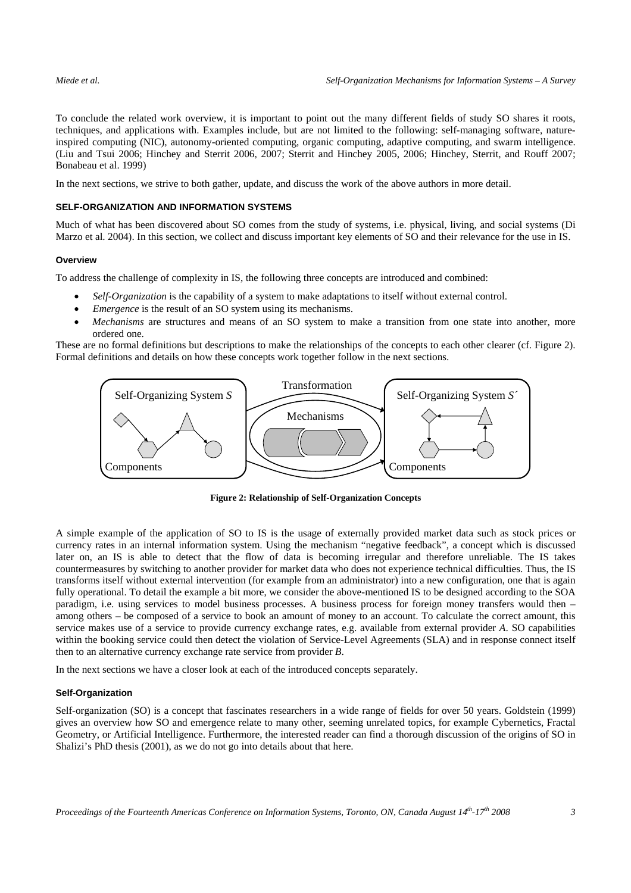To conclude the related work overview, it is important to point out the many different fields of study SO shares it roots, techniques, and applications with. Examples include, but are not limited to the following: self-managing software, natureinspired computing (NIC), autonomy-oriented computing, organic computing, adaptive computing, and swarm intelligence. (Liu and Tsui 2006; Hinchey and Sterrit 2006, 2007; Sterrit and Hinchey 2005, 2006; Hinchey, Sterrit, and Rouff 2007; Bonabeau et al. 1999)

In the next sections, we strive to both gather, update, and discuss the work of the above authors in more detail.

### **SELF-ORGANIZATION AND INFORMATION SYSTEMS**

Much of what has been discovered about SO comes from the study of systems, i.e. physical, living, and social systems (Di Marzo et al. 2004). In this section, we collect and discuss important key elements of SO and their relevance for the use in IS.

#### **Overview**

To address the challenge of complexity in IS, the following three concepts are introduced and combined:

- *Self-Organization* is the capability of a system to make adaptations to itself without external control.
- *Emergence* is the result of an SO system using its mechanisms.
- *Mechanisms* are structures and means of an SO system to make a transition from one state into another, more ordered one.

These are no formal definitions but descriptions to make the relationships of the concepts to each other clearer (cf. Figure 2). Formal definitions and details on how these concepts work together follow in the next sections.



**Figure 2: Relationship of Self-Organization Concepts** 

A simple example of the application of SO to IS is the usage of externally provided market data such as stock prices or currency rates in an internal information system. Using the mechanism "negative feedback", a concept which is discussed later on, an IS is able to detect that the flow of data is becoming irregular and therefore unreliable. The IS takes countermeasures by switching to another provider for market data who does not experience technical difficulties. Thus, the IS transforms itself without external intervention (for example from an administrator) into a new configuration, one that is again fully operational. To detail the example a bit more, we consider the above-mentioned IS to be designed according to the SOA paradigm, i.e. using services to model business processes. A business process for foreign money transfers would then – among others – be composed of a service to book an amount of money to an account. To calculate the correct amount, this service makes use of a service to provide currency exchange rates, e.g. available from external provider *A*. SO capabilities within the booking service could then detect the violation of Service-Level Agreements (SLA) and in response connect itself then to an alternative currency exchange rate service from provider *B*.

In the next sections we have a closer look at each of the introduced concepts separately.

#### **Self-Organization**

Self-organization (SO) is a concept that fascinates researchers in a wide range of fields for over 50 years. Goldstein (1999) gives an overview how SO and emergence relate to many other, seeming unrelated topics, for example Cybernetics, Fractal Geometry, or Artificial Intelligence. Furthermore, the interested reader can find a thorough discussion of the origins of SO in Shalizi's PhD thesis (2001), as we do not go into details about that here.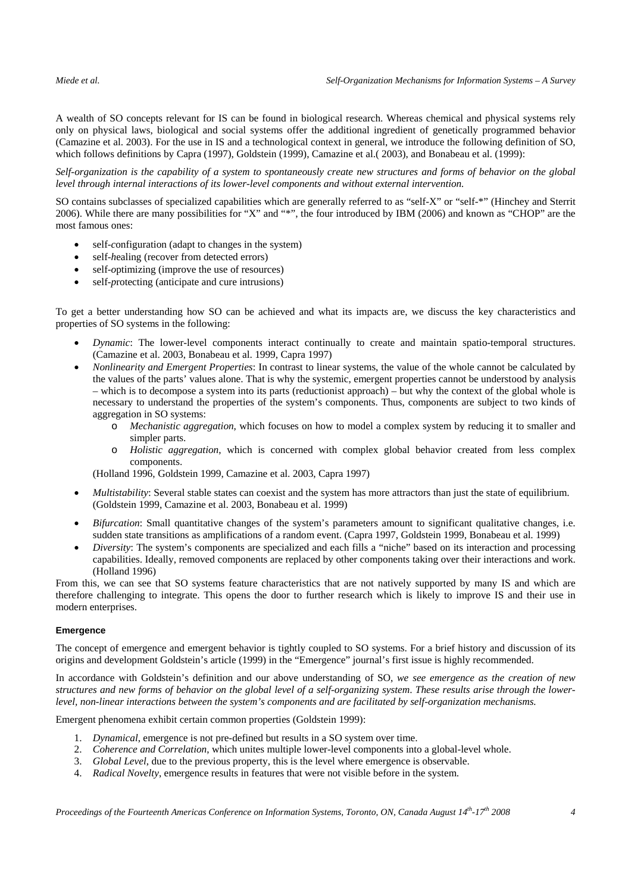A wealth of SO concepts relevant for IS can be found in biological research. Whereas chemical and physical systems rely only on physical laws, biological and social systems offer the additional ingredient of genetically programmed behavior (Camazine et al. 2003). For the use in IS and a technological context in general, we introduce the following definition of SO, which follows definitions by Capra (1997), Goldstein (1999), Camazine et al.( 2003), and Bonabeau et al. (1999):

*Self-organization is the capability of a system to spontaneously create new structures and forms of behavior on the global level through internal interactions of its lower-level components and without external intervention.* 

SO contains subclasses of specialized capabilities which are generally referred to as "self-X" or "self-\*" (Hinchey and Sterrit 2006). While there are many possibilities for "X" and "\*", the four introduced by IBM (2006) and known as "CHOP" are the most famous ones:

- self-*c*onfiguration (adapt to changes in the system)
- self-*healing* (recover from detected errors)
- self-*optimizing* (improve the use of resources)
- self-*protecting* (anticipate and cure intrusions)

To get a better understanding how SO can be achieved and what its impacts are, we discuss the key characteristics and properties of SO systems in the following:

- *Dynamic*: The lower-level components interact continually to create and maintain spatio-temporal structures. (Camazine et al. 2003, Bonabeau et al. 1999, Capra 1997)
- *Nonlinearity and Emergent Properties*: In contrast to linear systems, the value of the whole cannot be calculated by the values of the parts' values alone. That is why the systemic, emergent properties cannot be understood by analysis – which is to decompose a system into its parts (reductionist approach) – but why the context of the global whole is necessary to understand the properties of the system's components. Thus, components are subject to two kinds of aggregation in SO systems:
	- o *Mechanistic aggregation*, which focuses on how to model a complex system by reducing it to smaller and simpler parts.
	- o *Holistic aggregation*, which is concerned with complex global behavior created from less complex components.

(Holland 1996, Goldstein 1999, Camazine et al. 2003, Capra 1997)

- *Multistability*: Several stable states can coexist and the system has more attractors than just the state of equilibrium. (Goldstein 1999, Camazine et al. 2003, Bonabeau et al. 1999)
- *Bifurcation*: Small quantitative changes of the system's parameters amount to significant qualitative changes, i.e. sudden state transitions as amplifications of a random event. (Capra 1997, Goldstein 1999, Bonabeau et al. 1999)
- *Diversity*: The system's components are specialized and each fills a "niche" based on its interaction and processing capabilities. Ideally, removed components are replaced by other components taking over their interactions and work. (Holland 1996)

From this, we can see that SO systems feature characteristics that are not natively supported by many IS and which are therefore challenging to integrate. This opens the door to further research which is likely to improve IS and their use in modern enterprises.

#### **Emergence**

The concept of emergence and emergent behavior is tightly coupled to SO systems. For a brief history and discussion of its origins and development Goldstein's article (1999) in the "Emergence" journal's first issue is highly recommended.

In accordance with Goldstein's definition and our above understanding of SO, *we see emergence as the creation of new structures and new forms of behavior on the global level of a self-organizing system*. *These results arise through the lowerlevel, non-linear interactions between the system's components and are facilitated by self-organization mechanisms.*

Emergent phenomena exhibit certain common properties (Goldstein 1999):

- 1. *Dynamical*, emergence is not pre-defined but results in a SO system over time.
- 2. *Coherence and Correlation*, which unites multiple lower-level components into a global-level whole.
- 3. *Global Level*, due to the previous property, this is the level where emergence is observable.
- 4. *Radical Novelty*, emergence results in features that were not visible before in the system.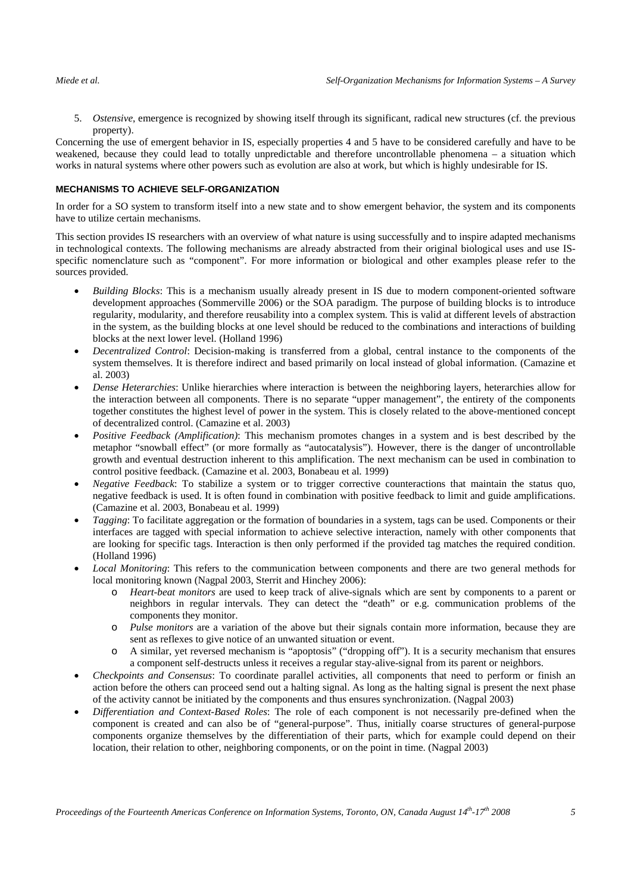- - 5. *Ostensive*, emergence is recognized by showing itself through its significant, radical new structures (cf. the previous property).

Concerning the use of emergent behavior in IS, especially properties 4 and 5 have to be considered carefully and have to be weakened, because they could lead to totally unpredictable and therefore uncontrollable phenomena – a situation which works in natural systems where other powers such as evolution are also at work, but which is highly undesirable for IS.

# **MECHANISMS TO ACHIEVE SELF-ORGANIZATION**

In order for a SO system to transform itself into a new state and to show emergent behavior, the system and its components have to utilize certain mechanisms.

This section provides IS researchers with an overview of what nature is using successfully and to inspire adapted mechanisms in technological contexts. The following mechanisms are already abstracted from their original biological uses and use ISspecific nomenclature such as "component". For more information or biological and other examples please refer to the sources provided.

- *Building Blocks*: This is a mechanism usually already present in IS due to modern component-oriented software development approaches (Sommerville 2006) or the SOA paradigm. The purpose of building blocks is to introduce regularity, modularity, and therefore reusability into a complex system. This is valid at different levels of abstraction in the system, as the building blocks at one level should be reduced to the combinations and interactions of building blocks at the next lower level. (Holland 1996)
- *Decentralized Control*: Decision-making is transferred from a global, central instance to the components of the system themselves. It is therefore indirect and based primarily on local instead of global information. (Camazine et al. 2003)
- *Dense Heterarchies*: Unlike hierarchies where interaction is between the neighboring layers, heterarchies allow for the interaction between all components. There is no separate "upper management", the entirety of the components together constitutes the highest level of power in the system. This is closely related to the above-mentioned concept of decentralized control. (Camazine et al. 2003)
- *Positive Feedback (Amplification)*: This mechanism promotes changes in a system and is best described by the metaphor "snowball effect" (or more formally as "autocatalysis"). However, there is the danger of uncontrollable growth and eventual destruction inherent to this amplification. The next mechanism can be used in combination to control positive feedback. (Camazine et al. 2003, Bonabeau et al. 1999)
- *Negative Feedback*: To stabilize a system or to trigger corrective counteractions that maintain the status quo, negative feedback is used. It is often found in combination with positive feedback to limit and guide amplifications. (Camazine et al. 2003, Bonabeau et al. 1999)
- *Tagging*: To facilitate aggregation or the formation of boundaries in a system, tags can be used. Components or their interfaces are tagged with special information to achieve selective interaction, namely with other components that are looking for specific tags. Interaction is then only performed if the provided tag matches the required condition. (Holland 1996)
- *Local Monitoring*: This refers to the communication between components and there are two general methods for local monitoring known (Nagpal 2003, Sterrit and Hinchey 2006):
	- o *Heart-beat monitors* are used to keep track of alive-signals which are sent by components to a parent or neighbors in regular intervals. They can detect the "death" or e.g. communication problems of the components they monitor.
	- o *Pulse monitors* are a variation of the above but their signals contain more information, because they are sent as reflexes to give notice of an unwanted situation or event.
	- o A similar, yet reversed mechanism is "apoptosis" ("dropping off"). It is a security mechanism that ensures a component self-destructs unless it receives a regular stay-alive-signal from its parent or neighbors.
- *Checkpoints and Consensus*: To coordinate parallel activities, all components that need to perform or finish an action before the others can proceed send out a halting signal. As long as the halting signal is present the next phase of the activity cannot be initiated by the components and thus ensures synchronization. (Nagpal 2003)
- *Differentiation and Context-Based Roles*: The role of each component is not necessarily pre-defined when the component is created and can also be of "general-purpose". Thus, initially coarse structures of general-purpose components organize themselves by the differentiation of their parts, which for example could depend on their location, their relation to other, neighboring components, or on the point in time. (Nagpal 2003)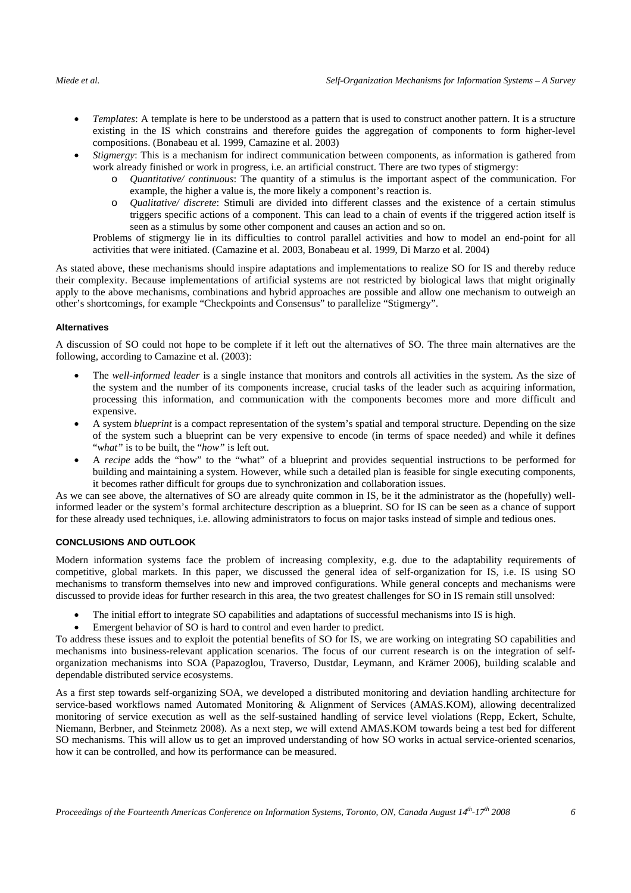- *Templates*: A template is here to be understood as a pattern that is used to construct another pattern. It is a structure existing in the IS which constrains and therefore guides the aggregation of components to form higher-level compositions. (Bonabeau et al. 1999, Camazine et al. 2003)
- *Stigmergy*: This is a mechanism for indirect communication between components, as information is gathered from work already finished or work in progress, i.e. an artificial construct. There are two types of stigmergy:
	- o *Quantitative/ continuous*: The quantity of a stimulus is the important aspect of the communication. For example, the higher a value is, the more likely a component's reaction is.
	- o *Qualitative/ discrete*: Stimuli are divided into different classes and the existence of a certain stimulus triggers specific actions of a component. This can lead to a chain of events if the triggered action itself is seen as a stimulus by some other component and causes an action and so on.

Problems of stigmergy lie in its difficulties to control parallel activities and how to model an end-point for all activities that were initiated. (Camazine et al. 2003, Bonabeau et al. 1999, Di Marzo et al. 2004)

As stated above, these mechanisms should inspire adaptations and implementations to realize SO for IS and thereby reduce their complexity. Because implementations of artificial systems are not restricted by biological laws that might originally apply to the above mechanisms, combinations and hybrid approaches are possible and allow one mechanism to outweigh an other's shortcomings, for example "Checkpoints and Consensus" to parallelize "Stigmergy".

# **Alternatives**

A discussion of SO could not hope to be complete if it left out the alternatives of SO. The three main alternatives are the following, according to Camazine et al. (2003):

- The *well-informed leader* is a single instance that monitors and controls all activities in the system. As the size of the system and the number of its components increase, crucial tasks of the leader such as acquiring information, processing this information, and communication with the components becomes more and more difficult and expensive.
- A system *blueprint* is a compact representation of the system's spatial and temporal structure. Depending on the size of the system such a blueprint can be very expensive to encode (in terms of space needed) and while it defines "*what"* is to be built, the "*how"* is left out.
- A *recipe* adds the "how" to the "what" of a blueprint and provides sequential instructions to be performed for building and maintaining a system. However, while such a detailed plan is feasible for single executing components, it becomes rather difficult for groups due to synchronization and collaboration issues.

As we can see above, the alternatives of SO are already quite common in IS, be it the administrator as the (hopefully) wellinformed leader or the system's formal architecture description as a blueprint. SO for IS can be seen as a chance of support for these already used techniques, i.e. allowing administrators to focus on major tasks instead of simple and tedious ones.

# **CONCLUSIONS AND OUTLOOK**

Modern information systems face the problem of increasing complexity, e.g. due to the adaptability requirements of competitive, global markets. In this paper, we discussed the general idea of self-organization for IS, i.e. IS using SO mechanisms to transform themselves into new and improved configurations. While general concepts and mechanisms were discussed to provide ideas for further research in this area, the two greatest challenges for SO in IS remain still unsolved:

- The initial effort to integrate SO capabilities and adaptations of successful mechanisms into IS is high.
- Emergent behavior of SO is hard to control and even harder to predict.

To address these issues and to exploit the potential benefits of SO for IS, we are working on integrating SO capabilities and mechanisms into business-relevant application scenarios. The focus of our current research is on the integration of selforganization mechanisms into SOA (Papazoglou, Traverso, Dustdar, Leymann, and Krämer 2006), building scalable and dependable distributed service ecosystems.

As a first step towards self-organizing SOA, we developed a distributed monitoring and deviation handling architecture for service-based workflows named Automated Monitoring & Alignment of Services (AMAS.KOM), allowing decentralized monitoring of service execution as well as the self-sustained handling of service level violations (Repp, Eckert, Schulte, Niemann, Berbner, and Steinmetz 2008). As a next step, we will extend AMAS.KOM towards being a test bed for different SO mechanisms. This will allow us to get an improved understanding of how SO works in actual service-oriented scenarios, how it can be controlled, and how its performance can be measured.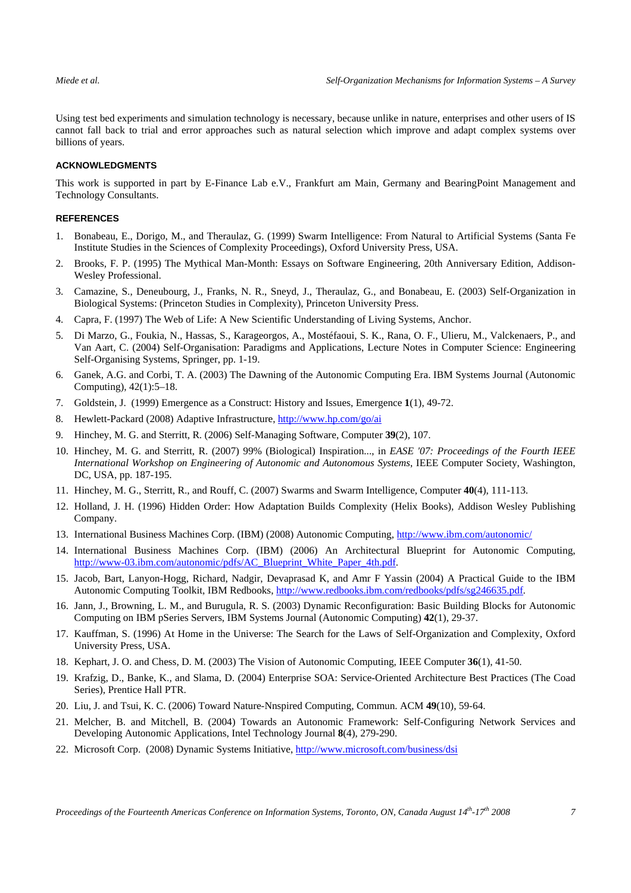Using test bed experiments and simulation technology is necessary, because unlike in nature, enterprises and other users of IS cannot fall back to trial and error approaches such as natural selection which improve and adapt complex systems over billions of years.

# **ACKNOWLEDGMENTS**

This work is supported in part by E-Finance Lab e.V., Frankfurt am Main, Germany and BearingPoint Management and Technology Consultants.

# **REFERENCES**

- 1. Bonabeau, E., Dorigo, M., and Theraulaz, G. (1999) Swarm Intelligence: From Natural to Artificial Systems (Santa Fe Institute Studies in the Sciences of Complexity Proceedings), Oxford University Press, USA.
- 2. Brooks, F. P. (1995) The Mythical Man-Month: Essays on Software Engineering, 20th Anniversary Edition, Addison-Wesley Professional.
- 3. Camazine, S., Deneubourg, J., Franks, N. R., Sneyd, J., Theraulaz, G., and Bonabeau, E. (2003) Self-Organization in Biological Systems: (Princeton Studies in Complexity), Princeton University Press.
- 4. Capra, F. (1997) The Web of Life: A New Scientific Understanding of Living Systems, Anchor.
- 5. Di Marzo, G., Foukia, N., Hassas, S., Karageorgos, A., Mostéfaoui, S. K., Rana, O. F., Ulieru, M., Valckenaers, P., and Van Aart, C. (2004) Self-Organisation: Paradigms and Applications, Lecture Notes in Computer Science: Engineering Self-Organising Systems, Springer, pp. 1-19.
- 6. Ganek, A.G. and Corbi, T. A. (2003) The Dawning of the Autonomic Computing Era. IBM Systems Journal (Autonomic Computing), 42(1):5–18.
- 7. Goldstein, J. (1999) Emergence as a Construct: History and Issues, Emergence **1**(1), 49-72.
- 8. Hewlett-Packard (2008) Adaptive Infrastructure, http://www.hp.com/go/ai
- 9. Hinchey, M. G. and Sterritt, R. (2006) Self-Managing Software, Computer **39**(2), 107.
- 10. Hinchey, M. G. and Sterritt, R. (2007) 99% (Biological) Inspiration..., in *EASE '07: Proceedings of the Fourth IEEE International Workshop on Engineering of Autonomic and Autonomous Systems*, IEEE Computer Society, Washington, DC, USA, pp. 187-195.
- 11. Hinchey, M. G., Sterritt, R., and Rouff, C. (2007) Swarms and Swarm Intelligence, Computer **40**(4), 111-113.
- 12. Holland, J. H. (1996) Hidden Order: How Adaptation Builds Complexity (Helix Books), Addison Wesley Publishing Company.
- 13. International Business Machines Corp. (IBM) (2008) Autonomic Computing, http://www.ibm.com/autonomic/
- 14. International Business Machines Corp. (IBM) (2006) An Architectural Blueprint for Autonomic Computing, http://www-03.ibm.com/autonomic/pdfs/AC\_Blueprint\_White\_Paper\_4th.pdf.
- 15. Jacob, Bart, Lanyon-Hogg, Richard, Nadgir, Devaprasad K, and Amr F Yassin (2004) A Practical Guide to the IBM Autonomic Computing Toolkit, IBM Redbooks, http://www.redbooks.ibm.com/redbooks/pdfs/sg246635.pdf.
- 16. Jann, J., Browning, L. M., and Burugula, R. S. (2003) Dynamic Reconfiguration: Basic Building Blocks for Autonomic Computing on IBM pSeries Servers, IBM Systems Journal (Autonomic Computing) **42**(1), 29-37.
- 17. Kauffman, S. (1996) At Home in the Universe: The Search for the Laws of Self-Organization and Complexity, Oxford University Press, USA.
- 18. Kephart, J. O. and Chess, D. M. (2003) The Vision of Autonomic Computing, IEEE Computer **36**(1), 41-50.
- 19. Krafzig, D., Banke, K., and Slama, D. (2004) Enterprise SOA: Service-Oriented Architecture Best Practices (The Coad Series), Prentice Hall PTR.
- 20. Liu, J. and Tsui, K. C. (2006) Toward Nature-Nnspired Computing, Commun. ACM **49**(10), 59-64.
- 21. Melcher, B. and Mitchell, B. (2004) Towards an Autonomic Framework: Self-Configuring Network Services and Developing Autonomic Applications, Intel Technology Journal **8**(4), 279-290.
- 22. Microsoft Corp. (2008) Dynamic Systems Initiative, http://www.microsoft.com/business/dsi